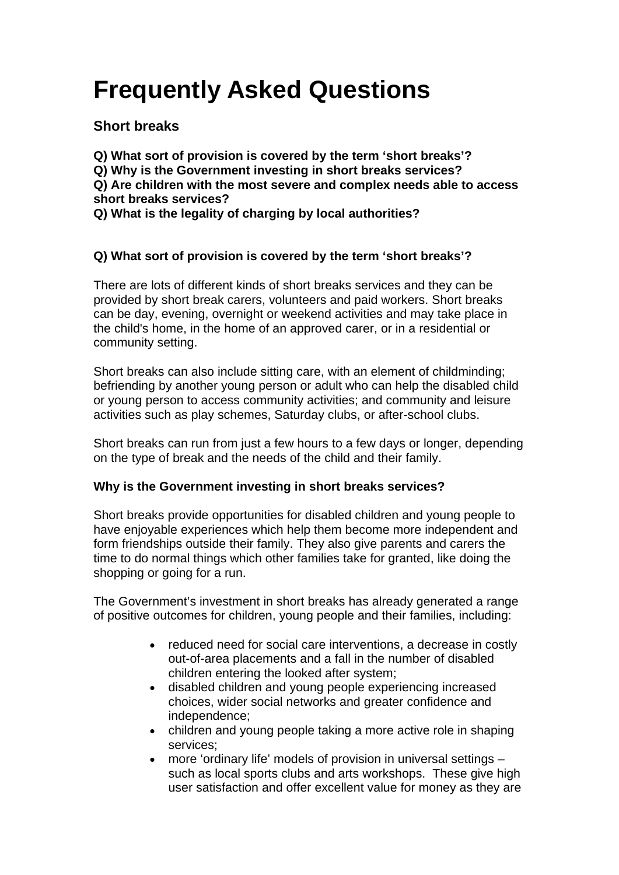# **Frequently Asked Questions**

# **Short breaks**

**Q) What sort of provision is covered by the term 'short breaks'? Q) Why is the Government investing in short breaks services? Q) Are children with the most severe and complex needs able to access short breaks services?**

**Q) What is the legality of charging by local authorities?**

# **Q) What sort of provision is covered by the term 'short breaks'?**

There are lots of different kinds of short breaks services and they can be provided by short break carers, volunteers and paid workers. Short breaks can be day, evening, overnight or weekend activities and may take place in the child's home, in the home of an approved carer, or in a residential or community setting.

Short breaks can also include sitting care, with an element of childminding; befriending by another young person or adult who can help the disabled child or young person to access community activities; and community and leisure activities such as play schemes, Saturday clubs, or after-school clubs.

Short breaks can run from just a few hours to a few days or longer, depending on the type of break and the needs of the child and their family.

# **Why is the Government investing in short breaks services?**

Short breaks provide opportunities for disabled children and young people to have enjoyable experiences which help them become more independent and form friendships outside their family. They also give parents and carers the time to do normal things which other families take for granted, like doing the shopping or going for a run.

The Government's investment in short breaks has already generated a range of positive outcomes for children, young people and their families, including:

- reduced need for social care interventions, a decrease in costly out-of-area placements and a fall in the number of disabled children entering the looked after system;
- disabled children and young people experiencing increased choices, wider social networks and greater confidence and independence;
- children and young people taking a more active role in shaping services;
- more 'ordinary life' models of provision in universal settings such as local sports clubs and arts workshops. These give high user satisfaction and offer excellent value for money as they are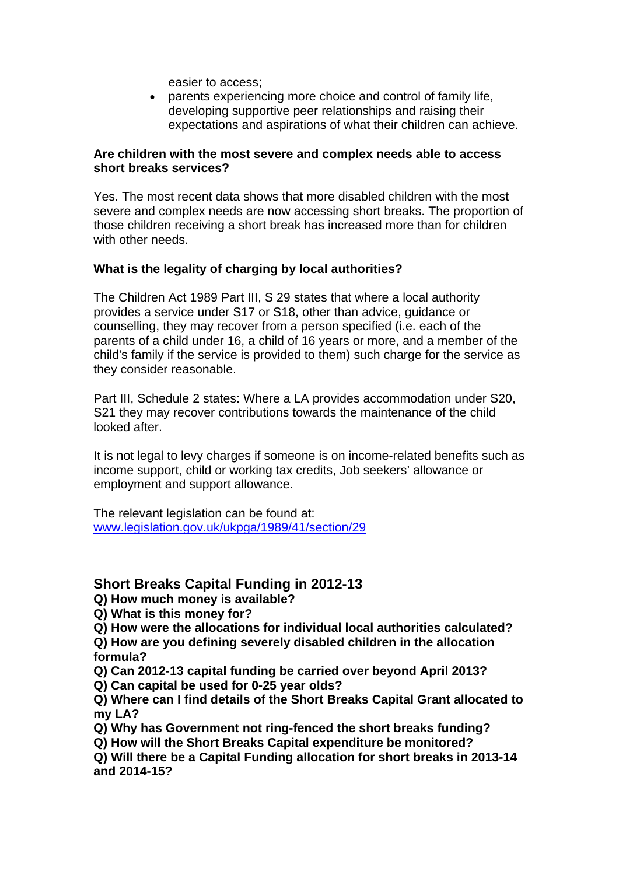easier to access;

• parents experiencing more choice and control of family life, developing supportive peer relationships and raising their expectations and aspirations of what their children can achieve.

#### **Are children with the most severe and complex needs able to access short breaks services?**

Yes. The most recent data shows that more disabled children with the most severe and complex needs are now accessing short breaks. The proportion of those children receiving a short break has increased more than for children with other needs.

## **What is the legality of charging by local authorities?**

The Children Act 1989 Part III, S 29 states that where a local authority provides a service under S17 or S18, other than advice, guidance or counselling, they may recover from a person specified (i.e. each of the parents of a child under 16, a child of 16 years or more, and a member of the child's family if the service is provided to them) such charge for the service as they consider reasonable.

Part III, Schedule 2 states: Where a LA provides accommodation under S20, S21 they may recover contributions towards the maintenance of the child looked after.

It is not legal to levy charges if someone is on income-related benefits such as income support, child or working tax credits, Job seekers' allowance or employment and support allowance.

The relevant legislation can be found at: [www.legislation.gov.uk/ukpga/1989/41/section/29](http://www.legislation.gov.uk/ukpga/1989/41/section/29)

# **Short Breaks Capital Funding in 2012-13**

**Q) How much money is available?**

**Q) What is this money for?**

**Q) How were the allocations for individual local authorities calculated?**

**Q) How are you defining severely disabled children in the allocation formula?**

- **Q) Can 2012-13 capital funding be carried over beyond April 2013?**
- **Q) Can capital be used for 0-25 year olds?**

**Q) Where can I find details of the Short Breaks Capital Grant allocated to my LA?**

- **Q) Why has Government not ring-fenced the short breaks funding?**
- **Q) How will the Short Breaks Capital expenditure be monitored?**

**Q) Will there be a Capital Funding allocation for short breaks in 2013-14 and 2014-15?**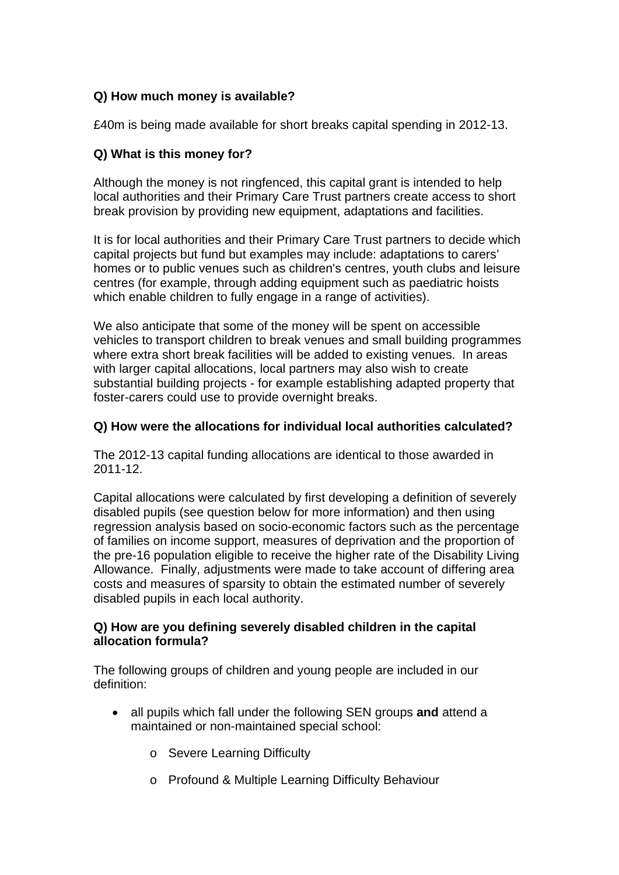## **Q) How much money is available?**

£40m is being made available for short breaks capital spending in 2012-13.

## **Q) What is this money for?**

Although the money is not ringfenced, this capital grant is intended to help local authorities and their Primary Care Trust partners create access to short break provision by providing new equipment, adaptations and facilities.

It is for local authorities and their Primary Care Trust partners to decide which capital projects but fund but examples may include: adaptations to carers' homes or to public venues such as children's centres, youth clubs and leisure centres (for example, through adding equipment such as paediatric hoists which enable children to fully engage in a range of activities).

We also anticipate that some of the money will be spent on accessible vehicles to transport children to break venues and small building programmes where extra short break facilities will be added to existing venues. In areas with larger capital allocations, local partners may also wish to create substantial building projects - for example establishing adapted property that foster-carers could use to provide overnight breaks.

#### **Q) How were the allocations for individual local authorities calculated?**

The 2012-13 capital funding allocations are identical to those awarded in 2011-12.

Capital allocations were calculated by first developing a definition of severely disabled pupils (see question below for more information) and then using regression analysis based on socio-economic factors such as the percentage of families on income support, measures of deprivation and the proportion of the pre-16 population eligible to receive the higher rate of the Disability Living Allowance. Finally, adjustments were made to take account of differing area costs and measures of sparsity to obtain the estimated number of severely disabled pupils in each local authority.

#### **Q) How are you defining severely disabled children in the capital allocation formula?**

The following groups of children and young people are included in our definition:

- all pupils which fall under the following SEN groups **and** attend a maintained or non-maintained special school:
	- o Severe Learning Difficulty
	- o Profound & Multiple Learning Difficulty Behaviour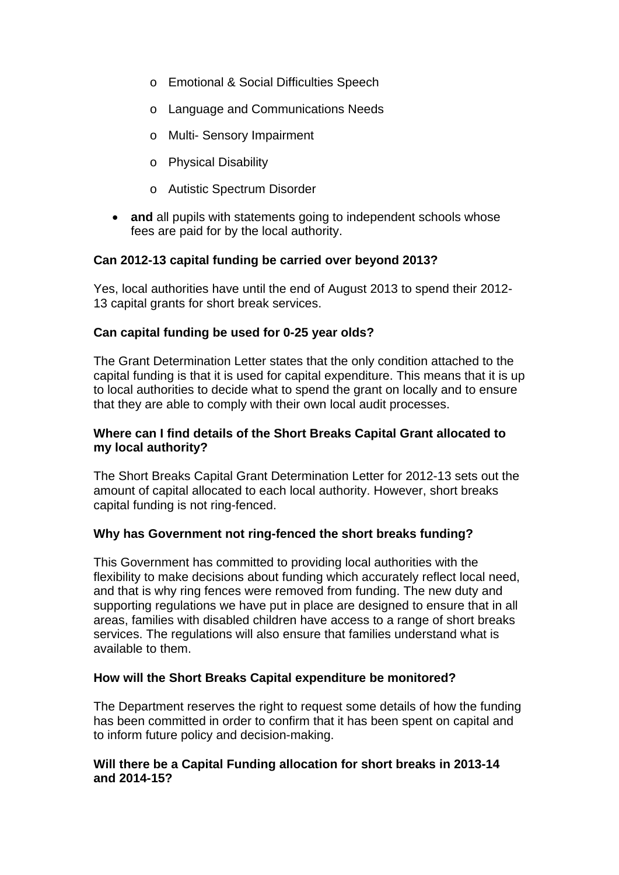- o Emotional & Social Difficulties Speech
- o Language and Communications Needs
- o Multi- Sensory Impairment
- o Physical Disability
- o Autistic Spectrum Disorder
- **and** all pupils with statements going to independent schools whose fees are paid for by the local authority.

## **Can 2012-13 capital funding be carried over beyond 2013?**

Yes, local authorities have until the end of August 2013 to spend their 2012- 13 capital grants for short break services.

## **Can capital funding be used for 0-25 year olds?**

The Grant Determination Letter states that the only condition attached to the capital funding is that it is used for capital expenditure. This means that it is up to local authorities to decide what to spend the grant on locally and to ensure that they are able to comply with their own local audit processes.

#### **Where can I find details of the Short Breaks Capital Grant allocated to my local authority?**

The Short Breaks Capital Grant Determination Letter for 2012-13 sets out the amount of capital allocated to each local authority. However, short breaks capital funding is not ring-fenced.

#### **Why has Government not ring-fenced the short breaks funding?**

This Government has committed to providing local authorities with the flexibility to make decisions about funding which accurately reflect local need, and that is why ring fences were removed from funding. The new duty and supporting regulations we have put in place are designed to ensure that in all areas, families with disabled children have access to a range of short breaks services. The regulations will also ensure that families understand what is available to them.

#### **How will the Short Breaks Capital expenditure be monitored?**

The Department reserves the right to request some details of how the funding has been committed in order to confirm that it has been spent on capital and to inform future policy and decision-making.

## **Will there be a Capital Funding allocation for short breaks in 2013-14 and 2014-15?**